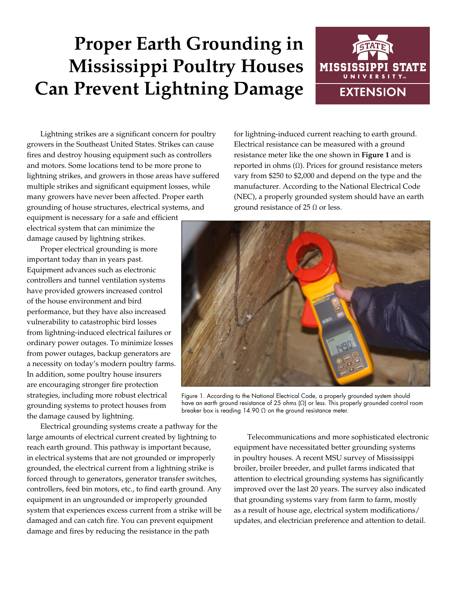# **Proper Earth Grounding in Mississippi Poultry Houses Can Prevent Lightning Damage**



Lightning strikes are a significant concern for poultry growers in the Southeast United States. Strikes can cause fires and destroy housing equipment such as controllers and motors. Some locations tend to be more prone to lightning strikes, and growers in those areas have suffered multiple strikes and significant equipment losses, while many growers have never been affected. Proper earth grounding of house structures, electrical systems, and

equipment is necessary for a safe and efficient electrical system that can minimize the damage caused by lightning strikes.

Proper electrical grounding is more important today than in years past. Equipment advances such as electronic controllers and tunnel ventilation systems have provided growers increased control of the house environment and bird performance, but they have also increased vulnerability to catastrophic bird losses from lightning-induced electrical failures or ordinary power outages. To minimize losses from power outages, backup generators are a necessity on today's modern poultry farms. In addition, some poultry house insurers are encouraging stronger fire protection strategies, including more robust electrical grounding systems to protect houses from the damage caused by lightning.

Electrical grounding systems create a pathway for the large amounts of electrical current created by lightning to reach earth ground. This pathway is important because, in electrical systems that are not grounded or improperly grounded, the electrical current from a lightning strike is forced through to generators, generator transfer switches, controllers, feed bin motors, etc., to find earth ground. Any equipment in an ungrounded or improperly grounded system that experiences excess current from a strike will be damaged and can catch fire. You can prevent equipment damage and fires by reducing the resistance in the path

for lightning-induced current reaching to earth ground. Electrical resistance can be measured with a ground resistance meter like the one shown in **Figure 1** and is reported in ohms  $(Ω)$ . Prices for ground resistance meters vary from \$250 to \$2,000 and depend on the type and the manufacturer. According to the National Electrical Code (NEC), a properly grounded system should have an earth ground resistance of 25  $\Omega$  or less.



Figure 1. According to the National Electrical Code, a properly grounded system should have an earth ground resistance of 25 ohms (Ω) or less. This properly grounded control room breaker box is reading  $14.90 \Omega$  on the ground resistance meter.

Telecommunications and more sophisticated electronic equipment have necessitated better grounding systems in poultry houses. A recent MSU survey of Mississippi broiler, broiler breeder, and pullet farms indicated that attention to electrical grounding systems has significantly improved over the last 20 years. The survey also indicated that grounding systems vary from farm to farm, mostly as a result of house age, electrical system modifications/ updates, and electrician preference and attention to detail.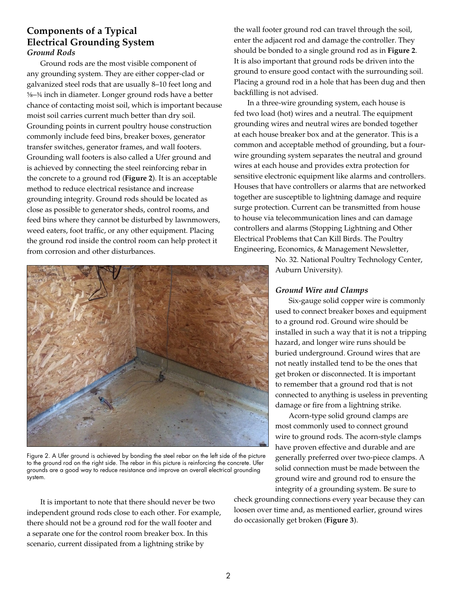## **Components of a Typical Electrical Grounding System** *Ground Rods*

Ground rods are the most visible component of any grounding system. They are either copper-clad or galvanized steel rods that are usually 8–10 feet long and 5/8–3/4 inch in diameter. Longer ground rods have a better chance of contacting moist soil, which is important because moist soil carries current much better than dry soil. Grounding points in current poultry house construction commonly include feed bins, breaker boxes, generator transfer switches, generator frames, and wall footers. Grounding wall footers is also called a Ufer ground and is achieved by connecting the steel reinforcing rebar in the concrete to a ground rod (**Figure 2**). It is an acceptable method to reduce electrical resistance and increase grounding integrity. Ground rods should be located as close as possible to generator sheds, control rooms, and feed bins where they cannot be disturbed by lawnmowers, weed eaters, foot traffic, or any other equipment. Placing the ground rod inside the control room can help protect it from corrosion and other disturbances.

the wall footer ground rod can travel through the soil, enter the adjacent rod and damage the controller. They should be bonded to a single ground rod as in **Figure 2**. It is also important that ground rods be driven into the ground to ensure good contact with the surrounding soil. Placing a ground rod in a hole that has been dug and then backfilling is not advised.

In a three-wire grounding system, each house is fed two load (hot) wires and a neutral. The equipment grounding wires and neutral wires are bonded together at each house breaker box and at the generator. This is a common and acceptable method of grounding, but a fourwire grounding system separates the neutral and ground wires at each house and provides extra protection for sensitive electronic equipment like alarms and controllers. Houses that have controllers or alarms that are networked together are susceptible to lightning damage and require surge protection. Current can be transmitted from house to house via telecommunication lines and can damage controllers and alarms (Stopping Lightning and Other Electrical Problems that Can Kill Birds. The Poultry Engineering, Economics, & Management Newsletter,

> No. 32. National Poultry Technology Center, Auburn University).

#### *Ground Wire and Clamps*

Six-gauge solid copper wire is commonly used to connect breaker boxes and equipment to a ground rod. Ground wire should be installed in such a way that it is not a tripping hazard, and longer wire runs should be buried underground. Ground wires that are not neatly installed tend to be the ones that get broken or disconnected. It is important to remember that a ground rod that is not connected to anything is useless in preventing damage or fire from a lightning strike.

Acorn-type solid ground clamps are most commonly used to connect ground wire to ground rods. The acorn-style clamps have proven effective and durable and are generally preferred over two-piece clamps. A solid connection must be made between the ground wire and ground rod to ensure the integrity of a grounding system. Be sure to

check grounding connections every year because they can loosen over time and, as mentioned earlier, ground wires do occasionally get broken (**Figure 3**).



Figure 2. A Ufer ground is achieved by bonding the steel rebar on the left side of the picture to the ground rod on the right side. The rebar in this picture is reinforcing the concrete. Ufer grounds are a good way to reduce resistance and improve an overall electrical grounding system.

It is important to note that there should never be two independent ground rods close to each other. For example, there should not be a ground rod for the wall footer and a separate one for the control room breaker box. In this scenario, current dissipated from a lightning strike by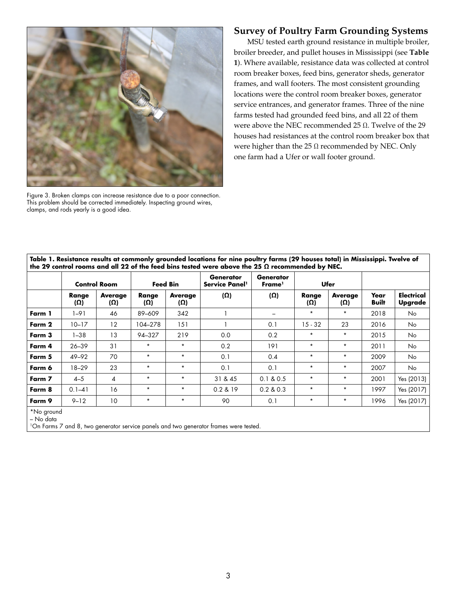

Figure 3. Broken clamps can increase resistance due to a poor connection. This problem should be corrected immediately. Inspecting ground wires, clamps, and rods yearly is a good idea.

### **Survey of Poultry Farm Grounding Systems**

MSU tested earth ground resistance in multiple broiler, broiler breeder, and pullet houses in Mississippi (see **Table 1**). Where available, resistance data was collected at control room breaker boxes, feed bins, generator sheds, generator frames, and wall footers. The most consistent grounding locations were the control room breaker boxes, generator service entrances, and generator frames. Three of the nine farms tested had grounded feed bins, and all 22 of them were above the NEC recommended 25 Ω. Twelve of the 29 houses had resistances at the control room breaker box that were higher than the 25  $\Omega$  recommended by NEC. Only one farm had a Ufer or wall footer ground.

|        | <b>Control Room</b> |                       | <b>Feed Bin</b> |                              | <b>Generator</b><br>Service Panel <sup>1</sup> | <b>Generator</b><br>Frame <sup>1</sup> | Ufer                |                              |               |                              |
|--------|---------------------|-----------------------|-----------------|------------------------------|------------------------------------------------|----------------------------------------|---------------------|------------------------------|---------------|------------------------------|
|        | Range<br>$(\Omega)$ | <b>Average</b><br>(Ω) | Range<br>(Ω)    | <b>Average</b><br>$(\Omega)$ | $(\Omega)$                                     | (Ω)                                    | Range<br>$(\Omega)$ | <b>Average</b><br>$(\Omega)$ | Year<br>Built | <b>Electrical</b><br>Upgrade |
| Farm 1 | $1 - 91$            | 46                    | 89-609          | 342                          |                                                |                                        | $\star$             | $\star$                      | 2018          | No.                          |
| Farm 2 | $10 - 17$           | 12                    | 104-278         | 151                          |                                                | 0.1                                    | $15 - 32$           | 23                           | 2016          | No                           |
| Farm 3 | $1 - 38$            | 13                    | 94-327          | 219                          | 0.0                                            | 0.2                                    | $\star$             | $\star$                      | 2015          | No                           |
| Farm 4 | $26 - 39$           | 31                    | $\star$         | $\star$                      | 0.2                                            | 191                                    | $\star$             | $\star$                      | 2011          | No.                          |
| Farm 5 | 49-92               | 70                    | $\star$         | $\star$                      | 0.1                                            | 0.4                                    | $\star$             | $\star$                      | 2009          | No                           |
| Farm 6 | $18 - 29$           | 23                    | $\star$         | $\star$                      | 0.1                                            | 0.1                                    | $\star$             | $\star$                      | 2007          | No.                          |
| Farm 7 | $4 - 5$             | 4                     | $\star$         | $\star$                      | 31 & 45                                        | 0.1 & 0.5                              | $\star$             | $\star$                      | 2001          | Yes (2013)                   |
| Farm 8 | $0.1 - 41$          | 16                    | $\star$         | $\star$                      | 0.2 & 19                                       | 0.2 & 0.3                              | $^\star$            | $\star$                      | 1997          | Yes (2017)                   |
| Farm 9 | $9 - 12$            | 10                    | $\star$         | $\star$                      | 90                                             | 0.1                                    | $^\star$            | $\star$                      | 1996          | Yes (2017)                   |

**Table 1. Resistance results at commonly grounded locations for nine poultry farms (29 houses total) in Mississippi. Twelve of** 

1On Farms 7 and 8, two generator service panels and two generator frames were tested.